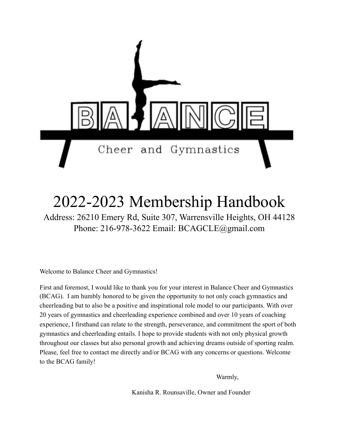

# 2022-2023 Membership Handbook

Address: 26210 Emery Rd, Suite 307, Warrensville Heights, OH 44128 Phone: 216-978-3622 Email: BCAGCLE@gmail.com

Welcome to Balance Cheer and Gymnastics!

First and foremost, I would like to thank you for your interest in Balance Cheer and Gymnastics (BCAG). I am humbly honored to be given the opportunity to not only coach gymnastics and cheerleading but to also be a positive and inspirational role model to our participants. With over 20 years of gymnastics and cheerleading experience combined and over 10 years of coaching experience, I firsthand can relate to the strength, perseverance, and commitment the sport of both gymnastics and cheerleading entails. I hope to provide students with not only physical growth throughout our classes but also personal growth and achieving dreams outside of sporting realm. Please, feel free to contact me directly and/or BCAG with any concerns or questions. Welcome to the BCAG family!

Warmly,

Kanisha R. Rounsaville, Owner and Founder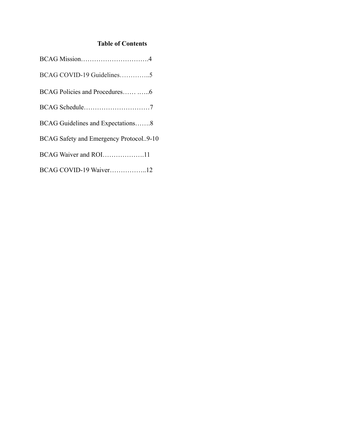# **Table of Contents**

| BCAG COVID-19 Guidelines5              |
|----------------------------------------|
|                                        |
|                                        |
| BCAG Guidelines and Expectations8      |
| BCAG Safety and Emergency Protocol9-10 |
| BCAG Waiver and ROI11                  |
| BCAG COVID-19 Waiver12                 |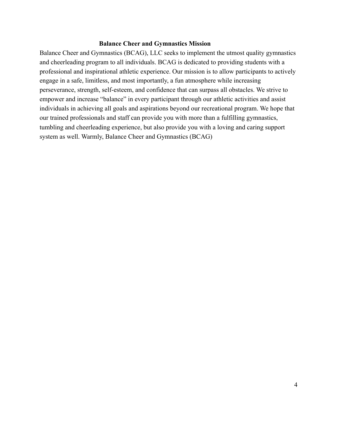#### **Balance Cheer and Gymnastics Mission**

Balance Cheer and Gymnastics (BCAG), LLC seeks to implement the utmost quality gymnastics and cheerleading program to all individuals. BCAG is dedicated to providing students with a professional and inspirational athletic experience. Our mission is to allow participants to actively engage in a safe, limitless, and most importantly, a fun atmosphere while increasing perseverance, strength, self-esteem, and confidence that can surpass all obstacles. We strive to empower and increase "balance" in every participant through our athletic activities and assist individuals in achieving all goals and aspirations beyond our recreational program. We hope that our trained professionals and staff can provide you with more than a fulfilling gymnastics, tumbling and cheerleading experience, but also provide you with a loving and caring support system as well. Warmly, Balance Cheer and Gymnastics (BCAG)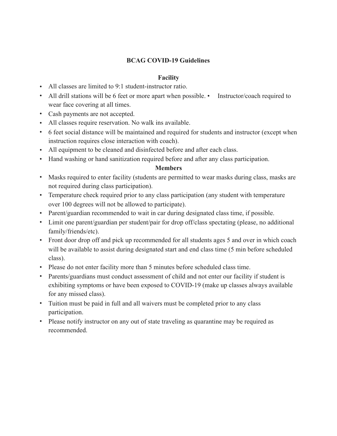# **BCAG COVID-19 Guidelines**

# **Facility**

- All classes are limited to 9:1 student-instructor ratio.
- All drill stations will be 6 feet or more apart when possible. Instructor/coach required to wear face covering at all times.
- Cash payments are not accepted.
- All classes require reservation. No walk ins available.
- 6 feet social distance will be maintained and required for students and instructor (except when instruction requires close interaction with coach).
- All equipment to be cleaned and disinfected before and after each class.
- Hand washing or hand sanitization required before and after any class participation.

## **Members**

- Masks required to enter facility (students are permitted to wear masks during class, masks are not required during class participation).
- Temperature check required prior to any class participation (any student with temperature over 100 degrees will not be allowed to participate).
- Parent/guardian recommended to wait in car during designated class time, if possible.
- Limit one parent/guardian per student/pair for drop off/class spectating (please, no additional family/friends/etc).
- Front door drop off and pick up recommended for all students ages 5 and over in which coach will be available to assist during designated start and end class time (5 min before scheduled class).
- Please do not enter facility more than 5 minutes before scheduled class time.
- Parents/guardians must conduct assessment of child and not enter our facility if student is exhibiting symptoms or have been exposed to COVID-19 (make up classes always available for any missed class).
- Tuition must be paid in full and all waivers must be completed prior to any class participation.
- Please notify instructor on any out of state traveling as quarantine may be required as recommended.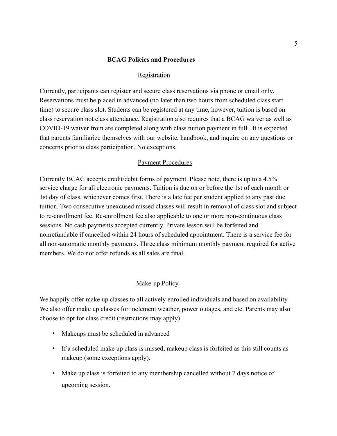#### **BCAG Policies and Procedures**

#### Registration

Currently, participants can register and secure class reservations via phone or email only. Reservations must be placed in advanced (no later than two hours from scheduled class start time) to secure class slot. Students can be registered at any time, however, tuition is based on class reservation not class attendance. Registration also requires that a BCAG waiver as well as COVID-19 waiver from are completed along with class tuition payment in full. It is expected that parents familiarize themselves with our website, handbook, and inquire on any questions or concerns prior to class participation. No exceptions.

#### Payment Procedures

Currently BCAG accepts credit/debit forms of payment. Please note, there is up to a 4.5% service charge for all electronic payments. Tuition is due on or before the 1st of each month or 1st day of class, whichever comes first. There is a late fee per student applied to any past due tuition. Two consecutive unexcused missed classes will result in removal of class slot and subject to re-enrollment fee. Re-enrollment fee also applicable to one or more non-continuous class sessions. No cash payments accepted currently. Private lesson will be forfeited and nonrefundable if cancelled within 24 hours of scheduled appointment. There is a service fee for all non-automatic monthly payments. Three class minimum monthly payment required for active members. We do not offer refunds as all sales are final.

#### Make-up Policy

We happily offer make up classes to all actively enrolled individuals and based on availability. We also offer make up classes for inclement weather, power outages, and etc. Parents may also choose to opt for class credit (restrictions may apply).

- Makeups must be scheduled in advanced
- If a scheduled make up class is missed, makeup class is forfeited as this still counts as makeup (some exceptions apply).
- Make up class is forfeited to any membership cancelled without 7 days notice of upcoming session.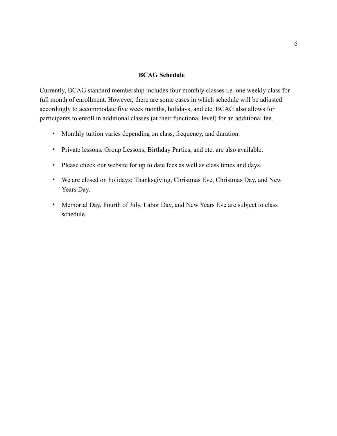#### **BCAG Schedule**

Currently, BCAG standard membership includes four monthly classes i.e. one weekly class for full month of enrollment. However, there are some cases in which schedule will be adjusted accordingly to accommodate five week months, holidays, and etc. BCAG also allows for participants to enroll in additional classes (at their functional level) for an additional fee.

- Monthly tuition varies depending on class, frequency, and duration.
- Private lessons, Group Lessons, Birthday Parties, and etc. are also available.
- Please check our website for up to date fees as well as class times and days.
- We are closed on holidays: Thanksgiving, Christmas Eve, Christmas Day, and New Years Day.
- Memorial Day, Fourth of July, Labor Day, and New Years Eve are subject to class schedule.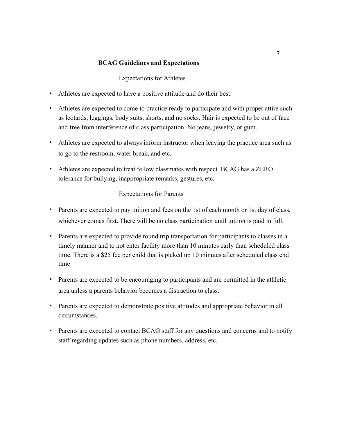# **BCAG Guidelines and Expectations**

Expectations for Athletes

- Athletes are expected to have a positive attitude and do their best.
- Athletes are expected to come to practice ready to participate and with proper attire such as leotards, leggings, body suits, shorts, and no socks. Hair is expected to be out of face and free from interference of class participation. No jeans, jewelry, or gum.
- Athletes are expected to always inform instructor when leaving the practice area such as to go to the restroom, water break, and etc.
- Athletes are expected to treat fellow classmates with respect. BCAG has a ZERO tolerance for bullying, inappropriate remarks, gestures, etc.

# Expectations for Parents

- Parents are expected to pay tuition and fees on the 1st of each month or 1st day of class, whichever comes first. There will be no class participation until tuition is paid in full.
- Parents are expected to provide round trip transportation for participants to classes in a timely manner and to not enter facility more than 10 minutes early than scheduled class time. There is a \$25 fee per child that is picked up 10 minutes after scheduled class end time
- Parents are expected to be encouraging to participants and are permitted in the athletic area unless a parents behavior becomes a distraction to class.
- Parents are expected to demonstrate positive attitudes and appropriate behavior in all circumstances.
- Parents are expected to contact BCAG staff for any questions and concerns and to notify staff regarding updates such as phone numbers, address, etc.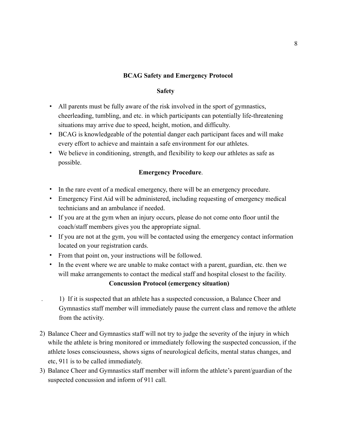# **BCAG Safety and Emergency Protocol**

## **Safety**

- All parents must be fully aware of the risk involved in the sport of gymnastics, cheerleading, tumbling, and etc. in which participants can potentially life-threatening situations may arrive due to speed, height, motion, and difficulty.
- BCAG is knowledgeable of the potential danger each participant faces and will make every effort to achieve and maintain a safe environment for our athletes.
- We believe in conditioning, strength, and flexibility to keep our athletes as safe as possible.

# **Emergency Procedure**.

- In the rare event of a medical emergency, there will be an emergency procedure.
- Emergency First Aid will be administered, including requesting of emergency medical technicians and an ambulance if needed.
- If you are at the gym when an injury occurs, please do not come onto floor until the coach/staff members gives you the appropriate signal.
- If you are not at the gym, you will be contacted using the emergency contact information located on your registration cards.
- From that point on, your instructions will be followed.
- In the event where we are unable to make contact with a parent, guardian, etc. then we will make arrangements to contact the medical staff and hospital closest to the facility.

# **Concussion Protocol (emergency situation)**

 . 1) If it is suspected that an athlete has a suspected concussion, a Balance Cheer and Gymnastics staff member will immediately pause the current class and remove the athlete from the activity.

- 2) Balance Cheer and Gymnastics staff will not try to judge the severity of the injury in which while the athlete is bring monitored or immediately following the suspected concussion, if the athlete loses consciousness, shows signs of neurological deficits, mental status changes, and etc, 911 is to be called immediately.
- 3) Balance Cheer and Gymnastics staff member will inform the athlete's parent/guardian of the suspected concussion and inform of 911 call.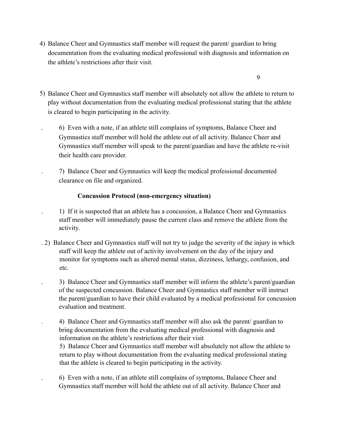4) Balance Cheer and Gymnastics staff member will request the parent/ guardian to bring documentation from the evaluating medical professional with diagnosis and information on the athlete's restrictions after their visit.

9

- 5) Balance Cheer and Gymnastics staff member will absolutely not allow the athlete to return to play without documentation from the evaluating medical professional stating that the athlete is cleared to begin participating in the activity.
	- . 6) Even with a note, if an athlete still complains of symptoms, Balance Cheer and Gymnastics staff member will hold the athlete out of all activity. Balance Cheer and Gymnastics staff member will speak to the parent/guardian and have the athlete re-visit their health care provider.
	- . 7) Balance Cheer and Gymnastics will keep the medical professional documented clearance on file and organized.

# **Concussion Protocol (non-emergency situation)**

- . 1) If it is suspected that an athlete has a concussion, a Balance Cheer and Gymnastics staff member will immediately pause the current class and remove the athlete from the activity.
- . 2) Balance Cheer and Gymnastics staff will not try to judge the severity of the injury in which staff will keep the athlete out of activity involvement on the day of the injury and monitor for symptoms such as altered mental status, dizziness, lethargy, confusion, and etc.
	- . 3) Balance Cheer and Gymnastics staff member will inform the athlete's parent/guardian of the suspected concussion. Balance Cheer and Gymnastics staff member will instruct the parent/guardian to have their child evaluated by a medical professional for concussion evaluation and treatment.
	- . 4) Balance Cheer and Gymnastics staff member will also ask the parent/ guardian to bring documentation from the evaluating medical professional with diagnosis and information on the athlete's restrictions after their visit
		- 5) Balance Cheer and Gymnastics staff member will absolutely not allow the athlete to return to play without documentation from the evaluating medical professional stating that the athlete is cleared to begin participating in the activity.
- . 6) Even with a note, if an athlete still complains of symptoms, Balance Cheer and Gymnastics staff member will hold the athlete out of all activity. Balance Cheer and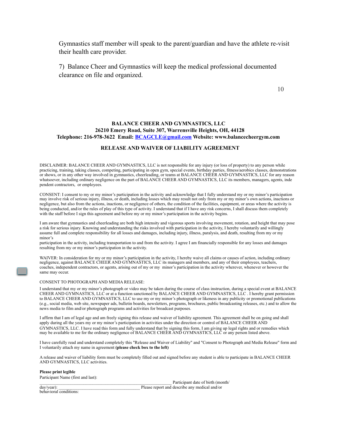Gymnastics staff member will speak to the parent/guardian and have the athlete re-visit their health care provider.

7) Balance Cheer and Gymnastics will keep the medical professional documented clearance on file and organized.

10

#### **BALANCE CHEER AND GYMNASTICS, LLC 26210 Emery Road, Suite 307, Warrensville Heights, OH, 44128 Telephone: 216-978-3622 Email: BCAGCLE@gmail.com Website: www.balancecheergym.com**

#### **RELEASE AND WAIVER OF LIABILITY AGREEMENT**

DISCLAIMER: BALANCE CHEER AND GYMNASTICS, LLC is not responsible for any injury (or loss of property) to any person while practicing, training, taking classes, competing, participating in open gym, special events, birthday parties, fitness/aerobics classes, demonstrations or shows, or in any other way involved in gymnastics, cheerleading, or teams at BALANCE CHEER AND GYMNASTICS, LLC for any reason whatsoever, including ordinary negligence on the part of BALANCE CHEER AND GYMNASTICS, LLC its members, managers, agents, inde pendent contractors, or employees.

CONSENT: I consent to my or my minor's participation in the activity and acknowledge that I fully understand my or my minor's participation may involve risk of serious injury, illness, or death, including losses which may result not only from my or my minor's own actions, inactions or negligence, but also from the actions, inactions, or negligence of others, the condition of the facilities, equipment, or areas where the activity is being conducted, and/or the rules of play of this type of activity. I understand that if I have any risk concerns, I shall discuss them completely with the staff before I sign this agreement and before my or my minor's participation in the activity begins.

I am aware that gymnastics and cheerleading are both high intensity and vigorous sports involving movement, rotation, and height that may pose a risk for serious injury. Knowing and understanding the risks involved with participation in the activity, I hereby voluntarily and willingly assume full and complete responsibility for all losses and damages, including injury, illness, paralysis, and death, resulting from my or my minor's

participation in the activity, including transportation to and from the activity. I agree I am financially responsible for any losses and damages resulting from my or my minor's participation in the activity.

WAIVER: In consideration for my or my minor's participation in the activity, I hereby waive all claims or causes of action, including ordinary negligence, against BALANCE CHEER AND GYMNASTICS, LLC its managers and members, and any of their employees, teachers, coaches, independent contractors, or agents, arising out of my or my minor's participation in the activity wherever, whenever or however the same may occur.

#### CONSENT TO PHOTOGRAPH AND MEDIA RELEASE:

I understand that my or my minor's photograph or video may be taken during the course of class instruction, during a special event at BALANCE CHEER AND GYMNASTICS, LLC or at a function sanctioned by BALANCE CHEER AND GYMNASTICS, LLC . I hereby grant permission to BALANCE CHEER AND GYMNASTICS, LLC to use my or my minor's photograph or likeness in any publicity or promotional publications (e.g., social media, web site, newspaper ads, bulletin boards, newsletters, programs, brochures, public broadcasting releases, etc.) and to allow the news media to film and/or photograph programs and activities for broadcast purposes.

I affirm that I am of legal age and am freely signing this release and waiver of liability agreement. This agreement shall be on going and shall apply during all the years my or my minor's participation in activities under the direction or control of BALANCE CHEER AND GYMNASTICS, LLC. I have read this form and fully understand that by signing this form, I am giving up legal rights and or remedies which may be available to me for the ordinary negligence of BALANCE CHEER AND GYMNASTICS, LLC or any person listed above.

I have carefully read and understand completely this "Release and Waiver of Liability" and "Consent to Photograph and Media Release" form and I voluntarily attach my name in agreement **(please check box to the left)**

A release and waiver of liability form must be completely filled out and signed before any student is able to participate in BALANCE CHEER AND GYMNASTICS, LLC activities.

#### **Please print legible**

Participant Name (first and last):

Participant date of birth (month/ day/year): The exercise and describe any medical and/or

behavioral conditions: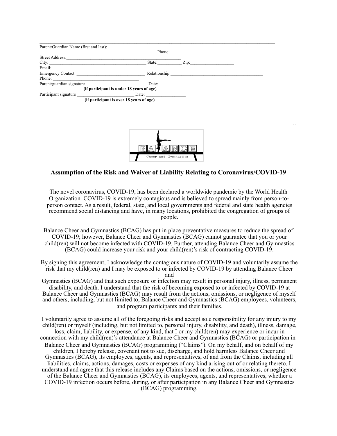| Parent/Guardian Name (first and last):    |               |      |  |
|-------------------------------------------|---------------|------|--|
|                                           | Phone:        |      |  |
| Street Address:                           |               |      |  |
| City:                                     | State:        | Zip: |  |
| Email:                                    |               |      |  |
| <b>Emergency Contact:</b>                 | Relationship: |      |  |
| Phone:                                    |               |      |  |
| Parent/guardian signature                 | Date:         |      |  |
| (if participant is under 18 years of age) |               |      |  |
| Participant signature                     | Date:         |      |  |
| (if participant is over 18 years of age)  |               |      |  |



#### **Assumption of the Risk and Waiver of Liability Relating to Coronavirus/COVID-19**

The novel coronavirus, COVID-19, has been declared a worldwide pandemic by the World Health Organization. COVID-19 is extremely contagious and is believed to spread mainly from person-toperson contact. As a result, federal, state, and local governments and federal and state health agencies recommend social distancing and have, in many locations, prohibited the congregation of groups of people.

- Balance Cheer and Gymnastics (BCAG) has put in place preventative measures to reduce the spread of COVID-19; however, Balance Cheer and Gymnastics (BCAG) cannot guarantee that you or your child(ren) will not become infected with COVID-19. Further, attending Balance Cheer and Gymnastics (BCAG) could increase your risk and your child(ren)'s risk of contracting COVID-19.
- By signing this agreement, I acknowledge the contagious nature of COVID-19 and voluntarily assume the risk that my child(ren) and I may be exposed to or infected by COVID-19 by attending Balance Cheer and

Gymnastics (BCAG) and that such exposure or infection may result in personal injury, illness, permanent disability, and death. I understand that the risk of becoming exposed to or infected by COVID-19 at Balance Cheer and Gymnastics (BCAG) may result from the actions, omissions, or negligence of myself and others, including, but not limited to, Balance Cheer and Gymnastics (BCAG) employees, volunteers, and program participants and their families.

I voluntarily agree to assume all of the foregoing risks and accept sole responsibility for any injury to my child(ren) or myself (including, but not limited to, personal injury, disability, and death), illness, damage, loss, claim, liability, or expense, of any kind, that I or my child(ren) may experience or incur in connection with my child(ren)'s attendance at Balance Cheer and Gymnastics (BCAG) or participation in Balance Cheer and Gymnastics (BCAG) programming ("Claims"). On my behalf, and on behalf of my children, I hereby release, covenant not to sue, discharge, and hold harmless Balance Cheer and Gymnastics (BCAG), its employees, agents, and representatives, of and from the Claims, including all liabilities, claims, actions, damages, costs or expenses of any kind arising out of or relating thereto. I understand and agree that this release includes any Claims based on the actions, omissions, or negligence of the Balance Cheer and Gymnastics (BCAG), its employees, agents, and representatives, whether a COVID-19 infection occurs before, during, or after participation in any Balance Cheer and Gymnastics (BCAG) programming.

11